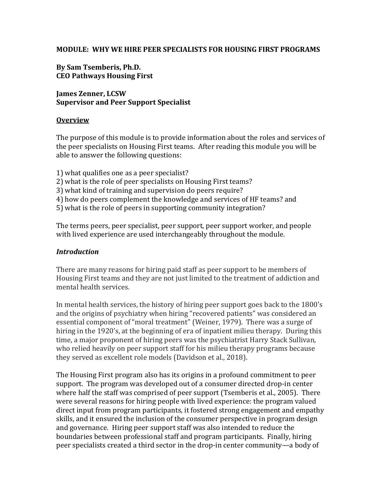#### **MODULE: WHY WE HIRE PEER SPECIALISTS FOR HOUSING FIRST PROGRAMS**

### **By Sam Tsemberis, Ph.D. CEO Pathways Housing First**

**James Zenner, LCSW Supervisor and Peer Support Specialist** 

#### **Overview**

The purpose of this module is to provide information about the roles and services of the peer specialists on Housing First teams. After reading this module you will be able to answer the following questions:

- 1) what qualifies one as a peer specialist?
- 2) what is the role of peer specialists on Housing First teams?
- 3) what kind of training and supervision do peers require?
- 4) how do peers complement the knowledge and services of HF teams? and
- 5) what is the role of peers in supporting community integration?

The terms peers, peer specialist, peer support, peer support worker, and people with lived experience are used interchangeably throughout the module.

#### *Introduction*

There are many reasons for hiring paid staff as peer support to be members of Housing First teams and they are not just limited to the treatment of addiction and mental health services.

In mental health services, the history of hiring peer support goes back to the 1800's and the origins of psychiatry when hiring "recovered patients" was considered an essential component of "moral treatment" (Weiner, 1979). There was a surge of hiring in the 1920's, at the beginning of era of inpatient milieu therapy. During this time, a major proponent of hiring peers was the psychiatrist Harry Stack Sullivan, who relied heavily on peer support staff for his milieu therapy programs because they served as excellent role models (Davidson et al., 2018).

The Housing First program also has its origins in a profound commitment to peer support. The program was developed out of a consumer directed drop-in center where half the staff was comprised of peer support (Tsemberis et al., 2005). There were several reasons for hiring people with lived experience: the program valued direct input from program participants, it fostered strong engagement and empathy skills, and it ensured the inclusion of the consumer perspective in program design and governance. Hiring peer support staff was also intended to reduce the boundaries between professional staff and program participants. Finally, hiring peer specialists created a third sector in the drop-in center community—a body of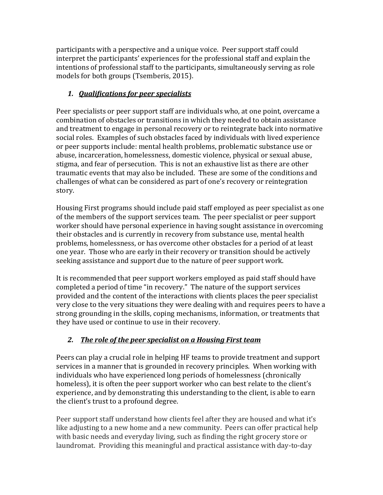participants with a perspective and a unique voice. Peer support staff could interpret the participants' experiences for the professional staff and explain the intentions of professional staff to the participants, simultaneously serving as role models for both groups (Tsemberis, 2015).

# *1. Qualifications for peer specialists*

Peer specialists or peer support staff are individuals who, at one point, overcame a combination of obstacles or transitions in which they needed to obtain assistance and treatment to engage in personal recovery or to reintegrate back into normative social roles. Examples of such obstacles faced by individuals with lived experience or peer supports include: mental health problems, problematic substance use or abuse, incarceration, homelessness, domestic violence, physical or sexual abuse, stigma, and fear of persecution. This is not an exhaustive list as there are other traumatic events that may also be included. These are some of the conditions and challenges of what can be considered as part of one's recovery or reintegration story.

Housing First programs should include paid staff employed as peer specialist as one of the members of the support services team. The peer specialist or peer support worker should have personal experience in having sought assistance in overcoming their obstacles and is currently in recovery from substance use, mental health problems, homelessness, or has overcome other obstacles for a period of at least one year. Those who are early in their recovery or transition should be actively seeking assistance and support due to the nature of peer support work.

It is recommended that peer support workers employed as paid staff should have completed a period of time "in recovery." The nature of the support services provided and the content of the interactions with clients places the peer specialist very close to the very situations they were dealing with and requires peers to have a strong grounding in the skills, coping mechanisms, information, or treatments that they have used or continue to use in their recovery.

# *2. The role of the peer specialist on a Housing First team*

Peers can play a crucial role in helping HF teams to provide treatment and support services in a manner that is grounded in recovery principles. When working with individuals who have experienced long periods of homelessness (chronically homeless), it is often the peer support worker who can best relate to the client's experience, and by demonstrating this understanding to the client, is able to earn the client's trust to a profound degree.

Peer support staff understand how clients feel after they are housed and what it's like adjusting to a new home and a new community. Peers can offer practical help with basic needs and everyday living, such as finding the right grocery store or laundromat. Providing this meaningful and practical assistance with day-to-day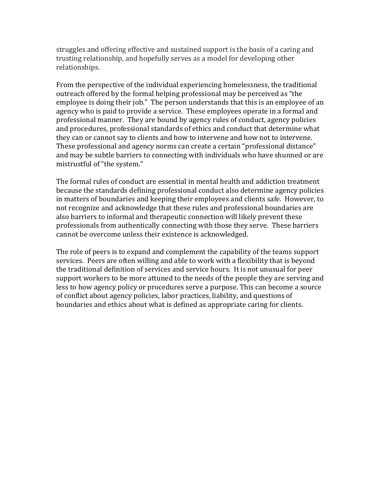struggles and offering effective and sustained support is the basis of a caring and trusting relationship, and hopefully serves as a model for developing other relationships.

From the perspective of the individual experiencing homelessness, the traditional outreach offered by the formal helping professional may be perceived as "the employee is doing their job." The person understands that this is an employee of an agency who is paid to provide a service. These employees operate in a formal and professional manner. They are bound by agency rules of conduct, agency policies and procedures, professional standards of ethics and conduct that determine what they can or cannot say to clients and how to intervene and how not to intervene. These professional and agency norms can create a certain "professional distance" and may be subtle barriers to connecting with individuals who have shunned or are mistrustful of "the system."

The formal rules of conduct are essential in mental health and addiction treatment because the standards defining professional conduct also determine agency policies in matters of boundaries and keeping their employees and clients safe. However, to not recognize and acknowledge that these rules and professional boundaries are also barriers to informal and therapeutic connection will likely prevent these professionals from authentically connecting with those they serve. These barriers cannot be overcome unless their existence is acknowledged.

The role of peers is to expand and complement the capability of the teams support services. Peers are often willing and able to work with a flexibility that is beyond the traditional definition of services and service hours. It is not unusual for peer support workers to be more attuned to the needs of the people they are serving and less to how agency policy or procedures serve a purpose. This can become a source of conflict about agency policies, labor practices, liability, and questions of boundaries and ethics about what is defined as appropriate caring for clients.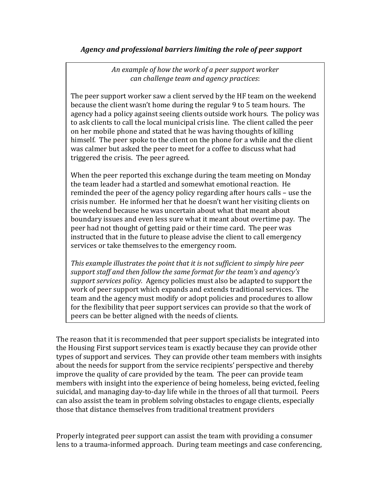### *Agency and professional barriers limiting the role of peer support*

*An example of how the work of a peer support worker can challenge team and agency practices*:

The peer support worker saw a client served by the HF team on the weekend because the client wasn't home during the regular 9 to 5 team hours. The agency had a policy against seeing clients outside work hours. The policy was to ask clients to call the local municipal crisis line. The client called the peer on her mobile phone and stated that he was having thoughts of killing himself. The peer spoke to the client on the phone for a while and the client was calmer but asked the peer to meet for a coffee to discuss what had triggered the crisis. The peer agreed.

When the peer reported this exchange during the team meeting on Monday the team leader had a startled and somewhat emotional reaction. He reminded the peer of the agency policy regarding after hours calls – use the crisis number. He informed her that he doesn't want her visiting clients on the weekend because he was uncertain about what that meant about boundary issues and even less sure what it meant about overtime pay. The peer had not thought of getting paid or their time card. The peer was instructed that in the future to please advise the client to call emergency services or take themselves to the emergency room.

*This example illustrates the point that it is not sufficient to simply hire peer support staff and then follow the same format for the team's and agency's support services policy.* Agency policies must also be adapted to support the work of peer support which expands and extends traditional services. The team and the agency must modify or adopt policies and procedures to allow for the flexibility that peer support services can provide so that the work of peers can be better aligned with the needs of clients.

The reason that it is recommended that peer support specialists be integrated into the Housing First support services team is exactly because they can provide other types of support and services. They can provide other team members with insights about the needs for support from the service recipients' perspective and thereby improve the quality of care provided by the team. The peer can provide team members with insight into the experience of being homeless, being evicted, feeling suicidal, and managing day-to-day life while in the throes of all that turmoil. Peers can also assist the team in problem solving obstacles to engage clients, especially those that distance themselves from traditional treatment providers

Properly integrated peer support can assist the team with providing a consumer lens to a trauma-informed approach. During team meetings and case conferencing,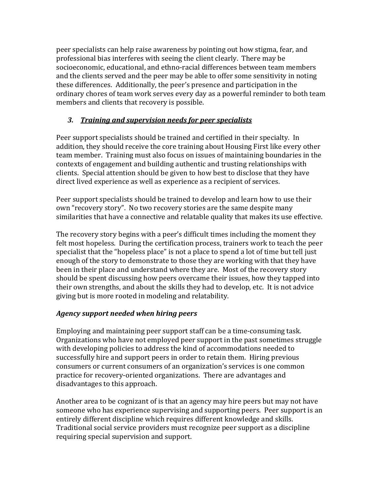peer specialists can help raise awareness by pointing out how stigma, fear, and professional bias interferes with seeing the client clearly. There may be socioeconomic, educational, and ethno-racial differences between team members and the clients served and the peer may be able to offer some sensitivity in noting these differences. Additionally, the peer's presence and participation in the ordinary chores of team work serves every day as a powerful reminder to both team members and clients that recovery is possible.

# *3. Training and supervision needs for peer specialists*

Peer support specialists should be trained and certified in their specialty. In addition, they should receive the core training about Housing First like every other team member. Training must also focus on issues of maintaining boundaries in the contexts of engagement and building authentic and trusting relationships with clients. Special attention should be given to how best to disclose that they have direct lived experience as well as experience as a recipient of services.

Peer support specialists should be trained to develop and learn how to use their own "recovery story". No two recovery stories are the same despite many similarities that have a connective and relatable quality that makes its use effective.

The recovery story begins with a peer's difficult times including the moment they felt most hopeless. During the certification process, trainers work to teach the peer specialist that the "hopeless place" is not a place to spend a lot of time but tell just enough of the story to demonstrate to those they are working with that they have been in their place and understand where they are. Most of the recovery story should be spent discussing how peers overcame their issues, how they tapped into their own strengths, and about the skills they had to develop, etc. It is not advice giving but is more rooted in modeling and relatability.

# *Agency support needed when hiring peers*

Employing and maintaining peer support staff can be a time-consuming task. Organizations who have not employed peer support in the past sometimes struggle with developing policies to address the kind of accommodations needed to successfully hire and support peers in order to retain them. Hiring previous consumers or current consumers of an organization's services is one common practice for recovery-oriented organizations. There are advantages and disadvantages to this approach.

Another area to be cognizant of is that an agency may hire peers but may not have someone who has experience supervising and supporting peers. Peer support is an entirely different discipline which requires different knowledge and skills. Traditional social service providers must recognize peer support as a discipline requiring special supervision and support.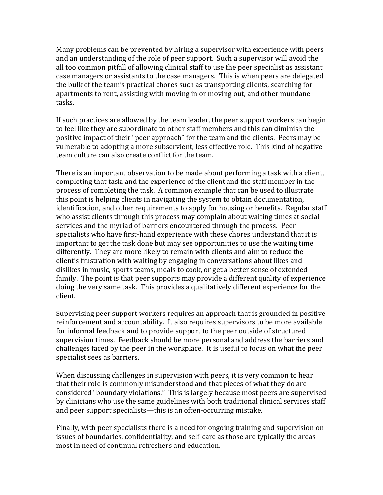Many problems can be prevented by hiring a supervisor with experience with peers and an understanding of the role of peer support. Such a supervisor will avoid the all too common pitfall of allowing clinical staff to use the peer specialist as assistant case managers or assistants to the case managers. This is when peers are delegated the bulk of the team's practical chores such as transporting clients, searching for apartments to rent, assisting with moving in or moving out, and other mundane tasks.

If such practices are allowed by the team leader, the peer support workers can begin to feel like they are subordinate to other staff members and this can diminish the positive impact of their "peer approach" for the team and the clients. Peers may be vulnerable to adopting a more subservient, less effective role. This kind of negative team culture can also create conflict for the team.

There is an important observation to be made about performing a task with a client, completing that task, and the experience of the client and the staff member in the process of completing the task. A common example that can be used to illustrate this point is helping clients in navigating the system to obtain documentation, identification, and other requirements to apply for housing or benefits. Regular staff who assist clients through this process may complain about waiting times at social services and the myriad of barriers encountered through the process. Peer specialists who have first-hand experience with these chores understand that it is important to get the task done but may see opportunities to use the waiting time differently. They are more likely to remain with clients and aim to reduce the client's frustration with waiting by engaging in conversations about likes and dislikes in music, sports teams, meals to cook, or get a better sense of extended family. The point is that peer supports may provide a different quality of experience doing the very same task. This provides a qualitatively different experience for the client.

Supervising peer support workers requires an approach that is grounded in positive reinforcement and accountability. It also requires supervisors to be more available for informal feedback and to provide support to the peer outside of structured supervision times. Feedback should be more personal and address the barriers and challenges faced by the peer in the workplace. It is useful to focus on what the peer specialist sees as barriers.

When discussing challenges in supervision with peers, it is very common to hear that their role is commonly misunderstood and that pieces of what they do are considered "boundary violations." This is largely because most peers are supervised by clinicians who use the same guidelines with both traditional clinical services staff and peer support specialists—this is an often-occurring mistake.

Finally, with peer specialists there is a need for ongoing training and supervision on issues of boundaries, confidentiality, and self-care as those are typically the areas most in need of continual refreshers and education.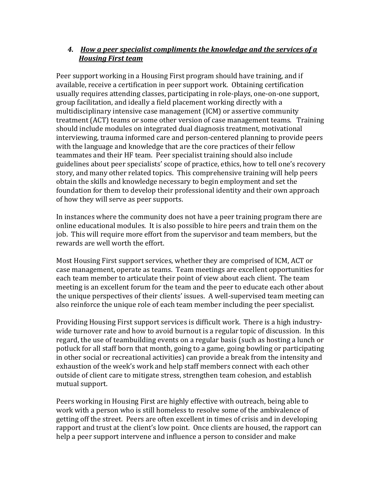# *4. How a peer specialist compliments the knowledge and the services of a Housing First team*

Peer support working in a Housing First program should have training, and if available, receive a certification in peer support work. Obtaining certification usually requires attending classes, participating in role-plays, one-on-one support, group facilitation, and ideally a field placement working directly with a multidisciplinary intensive case management (ICM) or assertive community treatment (ACT) teams or some other version of case management teams. Training should include modules on integrated dual diagnosis treatment, motivational interviewing, trauma informed care and person-centered planning to provide peers with the language and knowledge that are the core practices of their fellow teammates and their HF team. Peer specialist training should also include guidelines about peer specialists' scope of practice, ethics, how to tell one's recovery story, and many other related topics. This comprehensive training will help peers obtain the skills and knowledge necessary to begin employment and set the foundation for them to develop their professional identity and their own approach of how they will serve as peer supports.

In instances where the community does not have a peer training program there are online educational modules. It is also possible to hire peers and train them on the job. This will require more effort from the supervisor and team members, but the rewards are well worth the effort.

Most Housing First support services, whether they are comprised of ICM, ACT or case management, operate as teams. Team meetings are excellent opportunities for each team member to articulate their point of view about each client. The team meeting is an excellent forum for the team and the peer to educate each other about the unique perspectives of their clients' issues. A well-supervised team meeting can also reinforce the unique role of each team member including the peer specialist.

Providing Housing First support services is difficult work. There is a high industrywide turnover rate and how to avoid burnout is a regular topic of discussion. In this regard, the use of teambuilding events on a regular basis (such as hosting a lunch or potluck for all staff born that month, going to a game, going bowling or participating in other social or recreational activities) can provide a break from the intensity and exhaustion of the week's work and help staff members connect with each other outside of client care to mitigate stress, strengthen team cohesion, and establish mutual support.

Peers working in Housing First are highly effective with outreach, being able to work with a person who is still homeless to resolve some of the ambivalence of getting off the street. Peers are often excellent in times of crisis and in developing rapport and trust at the client's low point. Once clients are housed, the rapport can help a peer support intervene and influence a person to consider and make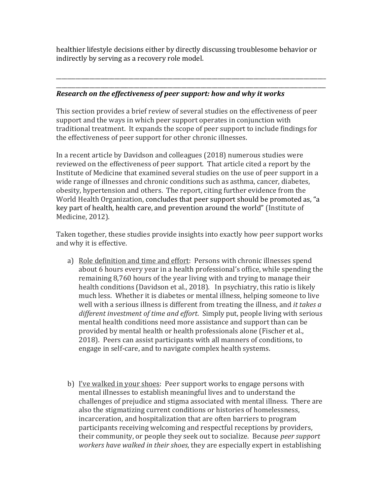healthier lifestyle decisions either by directly discussing troublesome behavior or indirectly by serving as a recovery role model.

\_\_\_\_\_\_\_\_\_\_\_\_\_\_\_\_\_\_\_\_\_\_\_\_\_\_\_\_\_\_\_\_\_\_\_\_\_\_\_\_\_\_\_\_\_\_\_\_\_\_\_\_\_\_\_\_\_\_\_\_\_\_\_\_\_\_\_\_\_\_\_\_\_\_\_\_\_\_\_\_\_\_\_\_\_\_\_\_\_\_\_\_\_\_\_\_\_ \_\_\_\_\_\_\_\_\_\_\_\_\_\_\_\_\_\_\_\_\_\_\_\_\_\_\_\_\_\_\_\_\_\_\_\_\_\_\_\_\_\_\_\_\_\_\_\_\_\_\_\_\_\_\_\_\_\_\_\_\_\_\_\_\_\_\_\_\_\_\_\_\_\_\_\_\_\_\_\_\_\_\_\_\_\_\_\_\_\_\_\_\_\_\_\_\_

### *Research on the effectiveness of peer support: how and why it works*

This section provides a brief review of several studies on the effectiveness of peer support and the ways in which peer support operates in conjunction with traditional treatment. It expands the scope of peer support to include findings for the effectiveness of peer support for other chronic illnesses.

In a recent article by Davidson and colleagues (2018) numerous studies were reviewed on the effectiveness of peer support. That article cited a report by the Institute of Medicine that examined several studies on the use of peer support in a wide range of illnesses and chronic conditions such as asthma, cancer, diabetes, obesity, hypertension and others. The report, citing further evidence from the World Health Organization, concludes that peer support should be promoted as, "a key part of health, health care, and prevention around the world" (Institute of Medicine, 2012).

Taken together, these studies provide insights into exactly how peer support works and why it is effective.

- a) Role definition and time and effort: Persons with chronic illnesses spend about 6 hours every year in a health professional's office, while spending the remaining 8,760 hours of the year living with and trying to manage their health conditions (Davidson et al., 2018). In psychiatry, this ratio is likely much less. Whether it is diabetes or mental illness, helping someone to live well with a serious illness is different from treating the illness, and *it takes a different investment of time and effort*. Simply put, people living with serious mental health conditions need more assistance and support than can be provided by mental health or health professionals alone (Fischer et al., 2018). Peers can assist participants with all manners of conditions, to engage in self-care, and to navigate complex health systems.
- b) I've walked in your shoes: Peer support works to engage persons with mental illnesses to establish meaningful lives and to understand the challenges of prejudice and stigma associated with mental illness. There are also the stigmatizing current conditions or histories of homelessness, incarceration, and hospitalization that are often barriers to program participants receiving welcoming and respectful receptions by providers, their community, or people they seek out to socialize. Because *peer support workers have walked in their shoes*, they are especially expert in establishing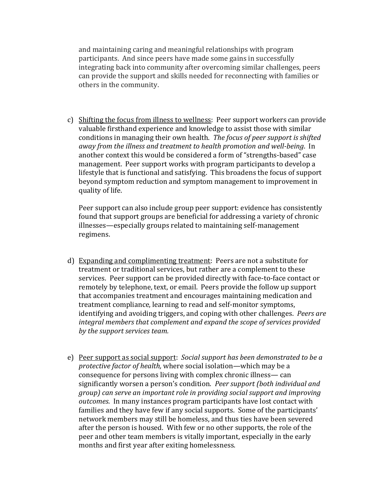and maintaining caring and meaningful relationships with program participants. And since peers have made some gains in successfully integrating back into community after overcoming similar challenges, peers can provide the support and skills needed for reconnecting with families or others in the community.

c) Shifting the focus from illness to wellness: Peer support workers can provide valuable firsthand experience and knowledge to assist those with similar conditions in managing their own health. *The focus of peer support is shifted away from the illness and treatment to health promotion and well-being*. In another context this would be considered a form of "strengths-based" case management. Peer support works with program participants to develop a lifestyle that is functional and satisfying. This broadens the focus of support beyond symptom reduction and symptom management to improvement in quality of life.

Peer support can also include group peer support: evidence has consistently found that support groups are beneficial for addressing a variety of chronic illnesses—especially groups related to maintaining self-management regimens.

- d) Expanding and complimenting treatment: Peers are not a substitute for treatment or traditional services, but rather are a complement to these services. Peer support can be provided directly with face-to-face contact or remotely by telephone, text, or email. Peers provide the follow up support that accompanies treatment and encourages maintaining medication and treatment compliance, learning to read and self-monitor symptoms, identifying and avoiding triggers, and coping with other challenges. *Peers are integral members that complement and expand the scope of services provided by the support services team.*
- e) Peer support as social support: *Social support has been demonstrated to be a protective factor of health,* where social isolation—which may be a consequence for persons living with complex chronic illness— can significantly worsen a person's condition. *Peer support (both individual and group) can serve an important role in providing social support and improving outcomes*. In many instances program participants have lost contact with families and they have few if any social supports. Some of the participants' network members may still be homeless, and thus ties have been severed after the person is housed. With few or no other supports, the role of the peer and other team members is vitally important, especially in the early months and first year after exiting homelessness.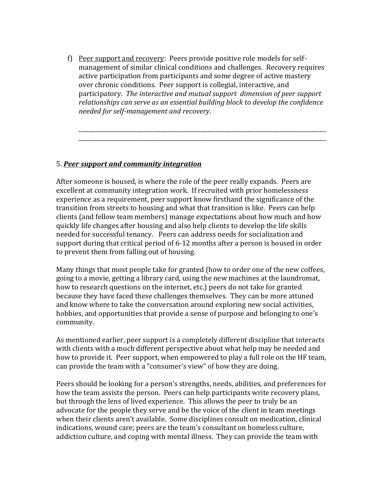f) Peer support and recovery: Peers provide positive role models for selfmanagement of similar clinical conditions and challenges. Recovery requires active participation from participants and some degree of active mastery over chronic conditions. Peer support is collegial, interactive, and participatory. *The interactive and mutual support dimension of peer support relationships can serve as an essential building block to develop the confidence needed for self-management and recovery*.

\_\_\_\_\_\_\_\_\_\_\_\_\_\_\_\_\_\_\_\_\_\_\_\_\_\_\_\_\_\_\_\_\_\_\_\_\_\_\_\_\_\_\_\_\_\_\_\_\_\_\_\_\_\_\_\_\_\_\_\_\_\_\_\_\_\_\_\_\_\_\_\_\_\_\_\_\_\_\_\_\_\_\_\_\_\_\_\_\_ \_\_\_\_\_\_\_\_\_\_\_\_\_\_\_\_\_\_\_\_\_\_\_\_\_\_\_\_\_\_\_\_\_\_\_\_\_\_\_\_\_\_\_\_\_\_\_\_\_\_\_\_\_\_\_\_\_\_\_\_\_\_\_\_\_\_\_\_\_\_\_\_\_\_\_\_\_\_\_\_\_\_\_\_\_\_\_\_\_

#### 5. *Peer support and community integration*

After someone is housed, is where the role of the peer really expands. Peers are excellent at community integration work. If recruited with prior homelessness experience as a requirement, peer support know firsthand the significance of the transition from streets to housing and what that transition is like. Peers can help clients (and fellow team members) manage expectations about how much and how quickly life changes after housing and also help clients to develop the life skills needed for successful tenancy. Peers can address needs for socialization and support during that critical period of 6-12 months after a person is housed in order to prevent them from falling out of housing.

Many things that most people take for granted (how to order one of the new coffees, going to a movie, getting a library card, using the new machines at the laundromat, how to research questions on the internet, etc.) peers do not take for granted because they have faced these challenges themselves. They can be more attuned and know where to take the conversation around exploring new social activities, hobbies, and opportunities that provide a sense of purpose and belonging to one's community.

As mentioned earlier, peer support is a completely different discipline that interacts with clients with a much different perspective about what help may be needed and how to provide it. Peer support, when empowered to play a full role on the HF team, can provide the team with a "consumer's view" of how they are doing.

Peers should be looking for a person's strengths, needs, abilities, and preferences for how the team assists the person. Peers can help participants write recovery plans, but through the lens of lived experience. This allows the peer to truly be an advocate for the people they serve and be the voice of the client in team meetings when their clients aren't available. Some disciplines consult on medication, clinical indications, wound care; peers are the team's consultant on homeless culture, addiction culture, and coping with mental illness. They can provide the team with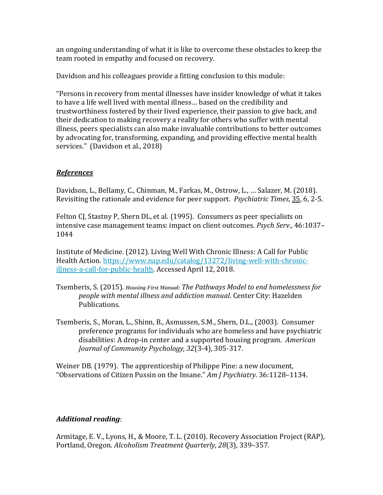an ongoing understanding of what it is like to overcome these obstacles to keep the team rooted in empathy and focused on recovery.

Davidson and his colleagues provide a fitting conclusion to this module:

"Persons in recovery from mental illnesses have insider knowledge of what it takes to have a life well lived with mental illness… based on the credibility and trustworthiness fostered by their lived experience, their passion to give back, and their dedication to making recovery a reality for others who suffer with mental illness, peers specialists can also make invaluable contributions to better outcomes by advocating for, transforming, expanding, and providing effective mental health services." (Davidson et al., 2018)

# *References*

Davidson, L., Bellamy, C., Chinman, M., Farkas, M., Ostrow, L., … Salazer, M. (2018). Revisiting the rationale and evidence for peer support. *Psychiatric Times*, 35, 6, 2-5.

Felton CJ, Stastny P, Shern DL, et al. (1995). Consumers as peer specialists on intensive case management teams: impact on client outcomes. *Psych Serv*., 46:1037– 1044

Institute of Medicine. (2012). Living Well With Chronic Illness: A Call for Public Health Action. [https://www.nap.edu/catalog/13272/living-well-with-chronic](https://www.nap.edu/catalog/13272/living-well-with-chronic-illness-a-call-for-public-health)[illness-a-call-for-public-health.](https://www.nap.edu/catalog/13272/living-well-with-chronic-illness-a-call-for-public-health) Accessed April 12, 2018.

- Tsemberis, S. (2015). *Housing First Manual: The Pathways Model to end homelessness for people with mental illness and addiction manual*. Center City: Hazelden Publications.
- Tsemberis, S., Moran, L., Shinn, B., Asmussen, S.M., Shern, D.L., (2003). Consumer preference programs for individuals who are homeless and have psychiatric disabilities: A drop-in center and a supported housing program. *American Journal of Community Psychology, 32*(3-4), 305-317.

Weiner DB. (1979). The apprenticeship of Philippe Pine: a new document, "Observations of Citizen Pussin on the Insane." *Am J Psychiatry*. 36:1128–1134.

# *Additional reading*:

Armitage, E. V., Lyons, H., & Moore, T. L. (2010). Recovery Association Project (RAP), Portland, Oregon. *Alcoholism Treatment Quarterly, 28*(3), 339–357.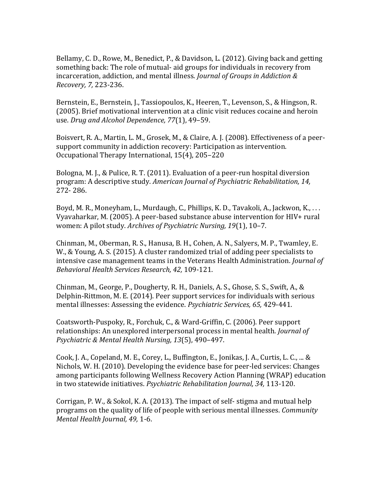Bellamy, C. D., Rowe, M., Benedict, P., & Davidson, L. (2012). Giving back and getting something back: The role of mutual- aid groups for individuals in recovery from incarceration, addiction, and mental illness. *Journal of Groups in Addiction & Recovery, 7,* 223-236.

Bernstein, E., Bernstein, J., Tassiopoulos, K., Heeren, T., Levenson, S., & Hingson, R. (2005). Brief motivational intervention at a clinic visit reduces cocaine and heroin use. *Drug and Alcohol Dependence, 77*(1), 49–59.

Boisvert, R. A., Martin, L. M., Grosek, M., & Claire, A. J. (2008). Effectiveness of a peersupport community in addiction recovery: Participation as intervention. Occupational Therapy International, 15(4), 205–220

Bologna, M. J., & Pulice, R. T. (2011). Evaluation of a peer-run hospital diversion program: A descriptive study. *American Journal of Psychiatric Rehabilitation, 14,*  272- 286.

Boyd, M. R., Moneyham, L., Murdaugh, C., Phillips, K. D., Tavakoli, A., Jackwon, K., . . . Vyavaharkar, M. (2005). A peer-based substance abuse intervention for HIV+ rural women: A pilot study. *Archives of Psychiatric Nursing, 19*(1), 10–7.

Chinman, M., Oberman, R. S., Hanusa, B. H., Cohen, A. N., Salyers, M. P., Twamley, E. W., & Young, A. S. (2015). A cluster randomized trial of adding peer specialists to intensive case management teams in the Veterans Health Administration. *Journal of Behavioral Health Services Research, 42,* 109-121.

Chinman, M., George, P., Dougherty, R. H., Daniels, A. S., Ghose, S. S., Swift, A., & Delphin-Rittmon, M. E. (2014). Peer support services for individuals with serious mental illnesses: Assessing the evidence. *Psychiatric Services, 65,* 429-441.

Coatsworth-Puspoky, R., Forchuk, C., & Ward-Griffin, C. (2006). Peer support relationships: An unexplored interpersonal process in mental health. *Journal of Psychiatric & Mental Health Nursing, 13*(5), 490–497.

Cook, J. A., Copeland, M. E., Corey, L., Buffington, E., Jonikas, J. A., Curtis, L. C., ... & Nichols, W. H. (2010). Developing the evidence base for peer-led services: Changes among participants following Wellness Recovery Action Planning (WRAP) education in two statewide initiatives. *Psychiatric Rehabilitation Journal, 34,* 113-120.

Corrigan, P. W., & Sokol, K. A. (2013). The impact of self- stigma and mutual help programs on the quality of life of people with serious mental illnesses. *Community Mental Health Journal, 49,* 1-6.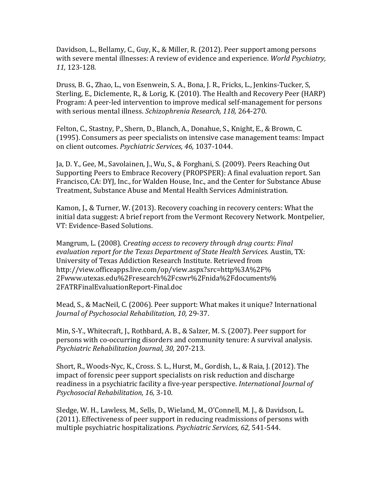Davidson, L., Bellamy, C., Guy, K., & Miller, R. (2012). Peer support among persons with severe mental illnesses: A review of evidence and experience. *World Psychiatry, 11,* 123-128.

Druss, B. G., Zhao, L., von Esenwein, S. A., Bona, J. R., Fricks, L., Jenkins-Tucker, S, Sterling, E., Diclemente, R., & Lorig, K. (2010). The Health and Recovery Peer (HARP) Program: A peer-led intervention to improve medical self-management for persons with serious mental illness. *Schizophrenia Research, 118,* 264-270.

Felton, C., Stastny, P., Shern, D., Blanch, A., Donahue, S., Knight, E., & Brown, C. (1995). Consumers as peer specialists on intensive case management teams: Impact on client outcomes. *Psychiatric Services, 46,* 1037-1044.

Ja, D. Y., Gee, M., Savolainen, J., Wu, S., & Forghani, S. (2009). Peers Reaching Out Supporting Peers to Embrace Recovery (PROPSPER): A final evaluation report. San Francisco, CA: DYJ, Inc., for Walden House, Inc., and the Center for Substance Abuse Treatment, Substance Abuse and Mental Health Services Administration.

Kamon, J., & Turner, W. (2013). Recovery coaching in recovery centers: What the initial data suggest: A brief report from the Vermont Recovery Network. Montpelier, VT: Evidence-Based Solutions.

Mangrum, L. (2008). C*reating access to recovery through drug courts: Final evaluation report for the Texas Department of State Health Services.* Austin, TX: University of Texas Addiction Research Institute. Retrieved from http://view.officeapps.live.com/op/view.aspx?src=http%3A%2F% 2Fwww.utexas.edu%2Fresearch%2Fcswr%2Fnida%2Fdocuments% 2FATRFinalEvaluationReport-Final.doc

Mead, S., & MacNeil, C. (2006). Peer support: What makes it unique? International *Journal of Psychosocial Rehabilitation, 10,* 29-37.

Min, S-Y., Whitecraft, J., Rothbard, A. B., & Salzer, M. S. (2007). Peer support for persons with co-occurring disorders and community tenure: A survival analysis. *Psychiatric Rehabilitation Journal, 30,* 207-213.

Short, R., Woods-Nyc, K., Cross. S. L., Hurst, M., Gordish, L., & Raia, J. (2012). The impact of forensic peer support specialists on risk reduction and discharge readiness in a psychiatric facility a five-year perspective. *International Journal of Psychosocial Rehabilitation, 16,* 3-10.

Sledge, W. H., Lawless, M., Sells, D., Wieland, M., O'Connell, M. J., & Davidson, L. (2011). Effectiveness of peer support in reducing readmissions of persons with multiple psychiatric hospitalizations. *Psychiatric Services, 62,* 541-544.